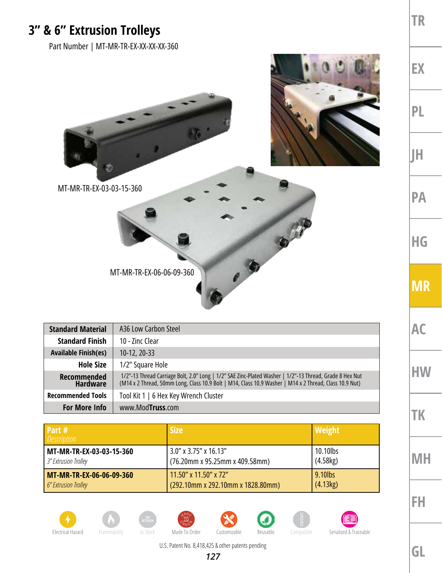## **3" & 6" Extrusion Trolleys**

Part Number | MT-MR-TR-EX-XX-XX-XX-360



MT-MR-TR-EX-03-03-15-360



| <b>Standard Material</b>       | A36 Low Carbon Steel                                                                                                                                                                                              |  |
|--------------------------------|-------------------------------------------------------------------------------------------------------------------------------------------------------------------------------------------------------------------|--|
| <b>Standard Finish</b>         | 10 - Zinc Clear                                                                                                                                                                                                   |  |
| <b>Available Finish(es)</b>    | $10-12, 20-33$                                                                                                                                                                                                    |  |
| <b>Hole Size</b>               | 1/2" Square Hole                                                                                                                                                                                                  |  |
| Recommended<br><b>Hardware</b> | 1/2"-13 Thread Carriage Bolt, 2.0" Long   1/2" SAE Zinc-Plated Washer   1/2"-13 Thread, Grade 8 Hex Nut<br>(M14 x 2 Thread, 50mm Long, Class 10.9 Bolt   M14, Class 10.9 Washer   M14 x 2 Thread, Class 10.9 Nut) |  |
| <b>Recommended Tools</b>       | Tool Kit 1   6 Hex Key Wrench Cluster                                                                                                                                                                             |  |
| <b>For More Info</b>           | www.ModTruss.com                                                                                                                                                                                                  |  |

| Part #<br><b>Description</b> | <b>Size</b>                       | <b>Weight</b> |
|------------------------------|-----------------------------------|---------------|
| MT-MR-TR-EX-03-03-15-360     | $3.0''$ x 3.75" x 16.13"          | 10.10lbs      |
| 3" Extrusion Trolley         | (76.20mm x 95.25mm x 409.58mm)    | (4.58kg)      |
| MT-MR-TR-EX-06-06-09-360     | 11.50" x 11.50" x 72"             | 9.10lbs       |
| 6" Extrusion Trolley         | (292.10mm x 292.10mm x 1828.80mm) | (4.13kg)      |















U.S. Patent No. 8,418,425 & other patents pending

**GL**

**TR**

**EX**

**PL**

**JH**

**PA**

**HG**

**MR**

**AC**

**HW**

**TK**

**MH**

**FH**